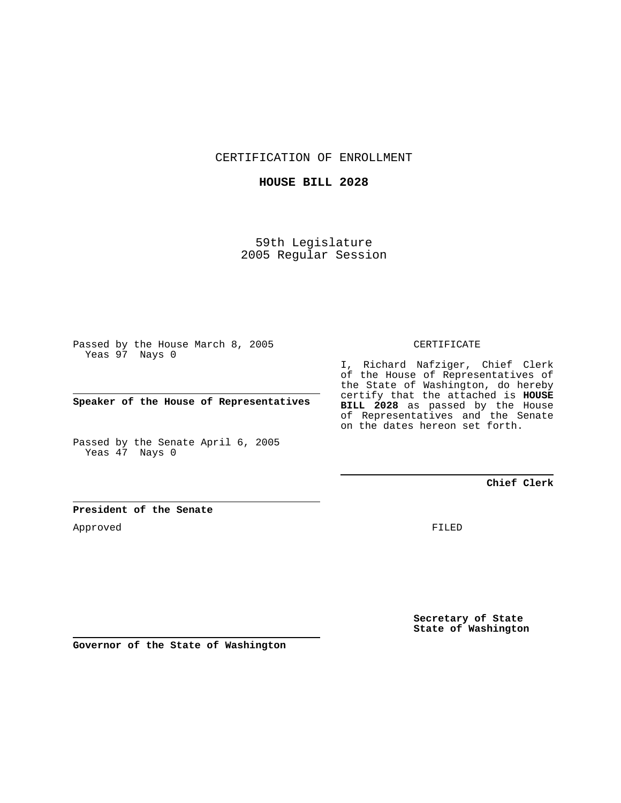CERTIFICATION OF ENROLLMENT

## **HOUSE BILL 2028**

59th Legislature 2005 Regular Session

Passed by the House March 8, 2005 Yeas 97 Nays 0

**Speaker of the House of Representatives**

Passed by the Senate April 6, 2005 Yeas 47 Nays 0

#### CERTIFICATE

I, Richard Nafziger, Chief Clerk of the House of Representatives of the State of Washington, do hereby certify that the attached is **HOUSE BILL 2028** as passed by the House of Representatives and the Senate on the dates hereon set forth.

## **Chief Clerk**

#### **President of the Senate**

Approved

FILED

**Secretary of State State of Washington**

**Governor of the State of Washington**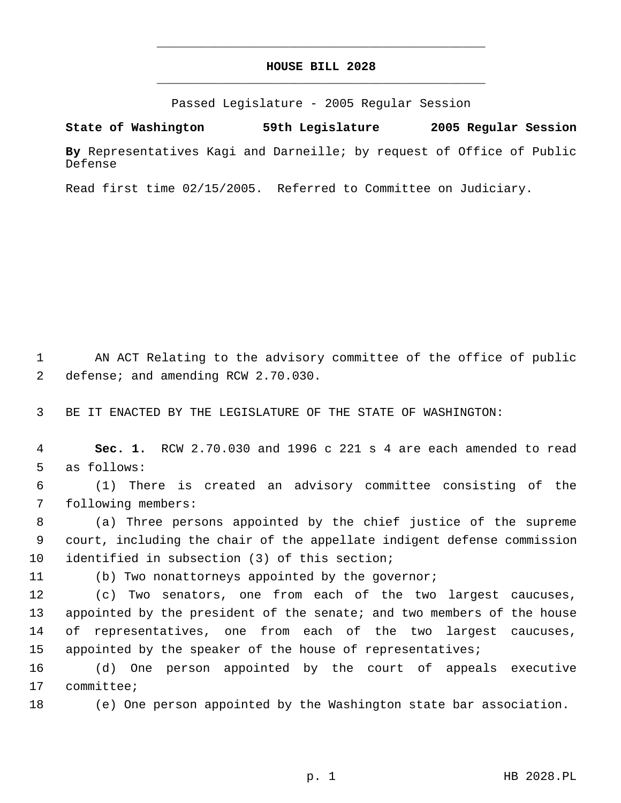# **HOUSE BILL 2028** \_\_\_\_\_\_\_\_\_\_\_\_\_\_\_\_\_\_\_\_\_\_\_\_\_\_\_\_\_\_\_\_\_\_\_\_\_\_\_\_\_\_\_\_\_

\_\_\_\_\_\_\_\_\_\_\_\_\_\_\_\_\_\_\_\_\_\_\_\_\_\_\_\_\_\_\_\_\_\_\_\_\_\_\_\_\_\_\_\_\_

Passed Legislature - 2005 Regular Session

**State of Washington 59th Legislature 2005 Regular Session**

**By** Representatives Kagi and Darneille; by request of Office of Public Defense

Read first time 02/15/2005. Referred to Committee on Judiciary.

 1 AN ACT Relating to the advisory committee of the office of public 2 defense; and amending RCW 2.70.030.

3 BE IT ENACTED BY THE LEGISLATURE OF THE STATE OF WASHINGTON:

 4 **Sec. 1.** RCW 2.70.030 and 1996 c 221 s 4 are each amended to read 5 as follows:

 6 (1) There is created an advisory committee consisting of the 7 following members:

 8 (a) Three persons appointed by the chief justice of the supreme 9 court, including the chair of the appellate indigent defense commission 10 identified in subsection (3) of this section;

11 (b) Two nonattorneys appointed by the governor;

 (c) Two senators, one from each of the two largest caucuses, appointed by the president of the senate; and two members of the house of representatives, one from each of the two largest caucuses, 15 appointed by the speaker of the house of representatives;

16 (d) One person appointed by the court of appeals executive 17 committee;

18 (e) One person appointed by the Washington state bar association.